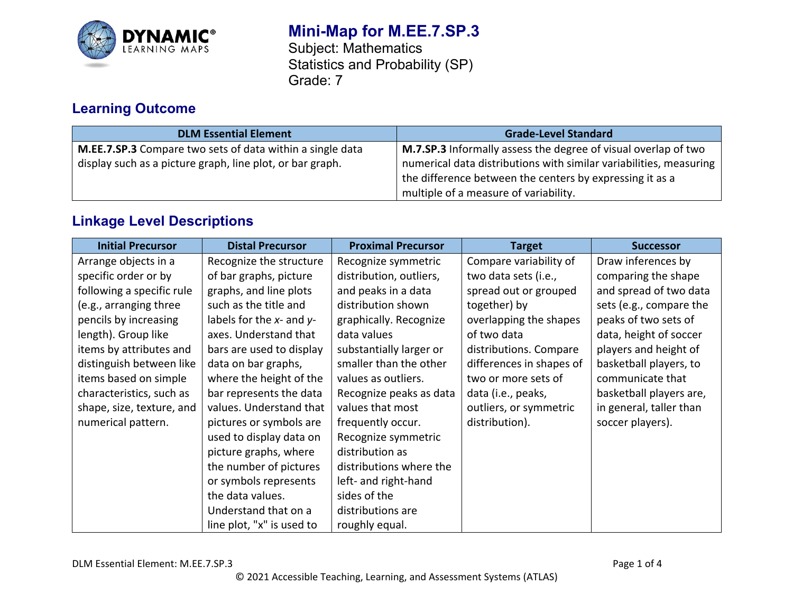

# **Mini-Map for M.EE.7.SP.3**

Subject: Mathematics Statistics and Probability (SP) Grade: 7

# **Learning Outcome**

| <b>DLM Essential Element</b>                              | <b>Grade-Level Standard</b>                                           |
|-----------------------------------------------------------|-----------------------------------------------------------------------|
| M.EE.7.SP.3 Compare two sets of data within a single data | <b>M.7.SP.3</b> Informally assess the degree of visual overlap of two |
| display such as a picture graph, line plot, or bar graph. | numerical data distributions with similar variabilities, measuring    |
|                                                           | the difference between the centers by expressing it as a              |
|                                                           | multiple of a measure of variability.                                 |

# **Linkage Level Descriptions**

| <b>Initial Precursor</b>  | <b>Distal Precursor</b>        | <b>Proximal Precursor</b> | <b>Target</b>            | <b>Successor</b>        |
|---------------------------|--------------------------------|---------------------------|--------------------------|-------------------------|
| Arrange objects in a      | Recognize the structure        | Recognize symmetric       | Compare variability of   | Draw inferences by      |
| specific order or by      | of bar graphs, picture         | distribution, outliers,   | two data sets (i.e.,     | comparing the shape     |
| following a specific rule | graphs, and line plots         | and peaks in a data       | spread out or grouped    | and spread of two data  |
| (e.g., arranging three    | such as the title and          | distribution shown        | together) by             | sets (e.g., compare the |
| pencils by increasing     | labels for the $x$ - and $y$ - | graphically. Recognize    | overlapping the shapes   | peaks of two sets of    |
| length). Group like       | axes. Understand that          | data values               | of two data              | data, height of soccer  |
| items by attributes and   | bars are used to display       | substantially larger or   | distributions. Compare   | players and height of   |
| distinguish between like  | data on bar graphs,            | smaller than the other    | differences in shapes of | basketball players, to  |
| items based on simple     | where the height of the        | values as outliers.       | two or more sets of      | communicate that        |
| characteristics, such as  | bar represents the data        | Recognize peaks as data   | data (i.e., peaks,       | basketball players are, |
| shape, size, texture, and | values. Understand that        | values that most          | outliers, or symmetric   | in general, taller than |
| numerical pattern.        | pictures or symbols are        | frequently occur.         | distribution).           | soccer players).        |
|                           | used to display data on        | Recognize symmetric       |                          |                         |
|                           | picture graphs, where          | distribution as           |                          |                         |
|                           | the number of pictures         | distributions where the   |                          |                         |
|                           | or symbols represents          | left- and right-hand      |                          |                         |
|                           | the data values.               | sides of the              |                          |                         |
|                           | Understand that on a           | distributions are         |                          |                         |
|                           | line plot, "x" is used to      | roughly equal.            |                          |                         |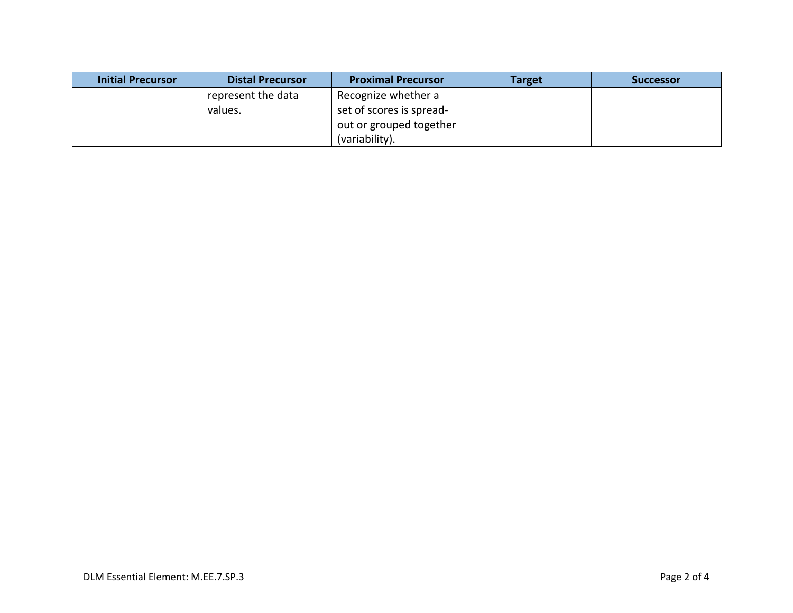| <b>Initial Precursor</b> | <b>Distal Precursor</b> | <b>Proximal Precursor</b> | <b>Target</b> | <b>Successor</b> |
|--------------------------|-------------------------|---------------------------|---------------|------------------|
|                          | represent the data      | Recognize whether a       |               |                  |
|                          | values.                 | set of scores is spread-  |               |                  |
|                          |                         | out or grouped together   |               |                  |
|                          |                         | (variability).            |               |                  |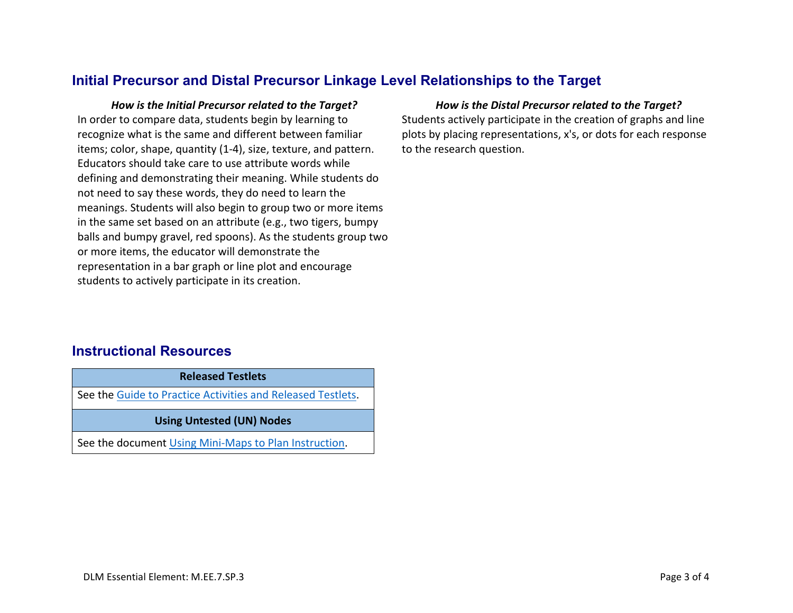## **Initial Precursor and Distal Precursor Linkage Level Relationships to the Target**

*How is the Initial Precursor related to the Target? How is the Distal Precursor related to the Target?* In order to compare data, students begin by learning to recognize what is the same and different between familiar items; color, shape, quantity (1-4), size, texture, and pattern. Educators should take care to use attribute words while defining and demonstrating their meaning. While students do not need to say these words, they do need to learn the meanings. Students will also begin to group two or more items in the same set based on an attribute (e.g., two tigers, bumpy balls and bumpy gravel, red spoons). As the students group two or more items, the educator will demonstrate the representation in a bar graph or line plot and encourage students to actively participate in its creation.

Students actively participate in the creation of graphs and line plots by placing representations, x's, or dots for each response to the research question.

### **Instructional Resources**

**Released Testlets** See the [Guide to Practice Activities and Released Testlets.](https://dynamiclearningmaps.org/sites/default/files/documents/Manuals_Blueprints/Guide_to_Practice_Activities_and_Released_Testlets.pdf) **Using Untested (UN) Nodes** See the document [Using Mini-Maps to Plan Instruction.](https://dynamiclearningmaps.org/sites/default/files/documents/Using_Mini_Maps_to_Plan_Instruction.pdf)